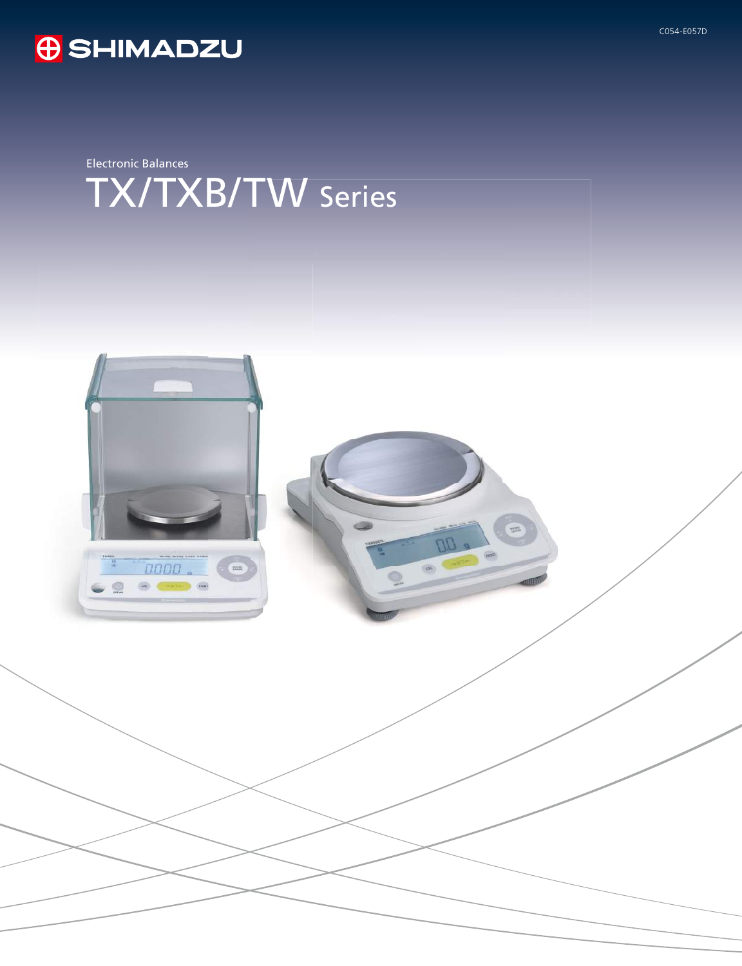

## **O** SHIMADZU

Electronic Balances TX/TXB/TW Series

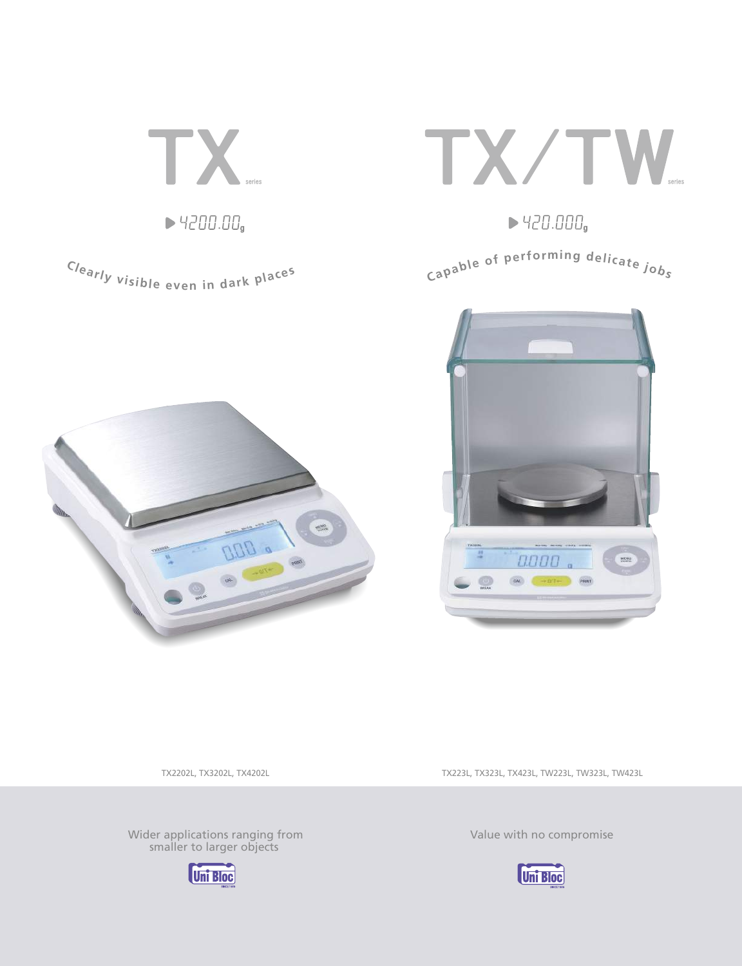

Clearly visible even in dark places



 $\blacktriangleright$  420.000,

Capable of performing delicate jobs





TX2202L, TX3202L, TX4202L

Wider applications ranging from smaller to larger objects



TX223L, TX323L, TX423L, TW223L, TW323L, TW423L

Value with no compromise

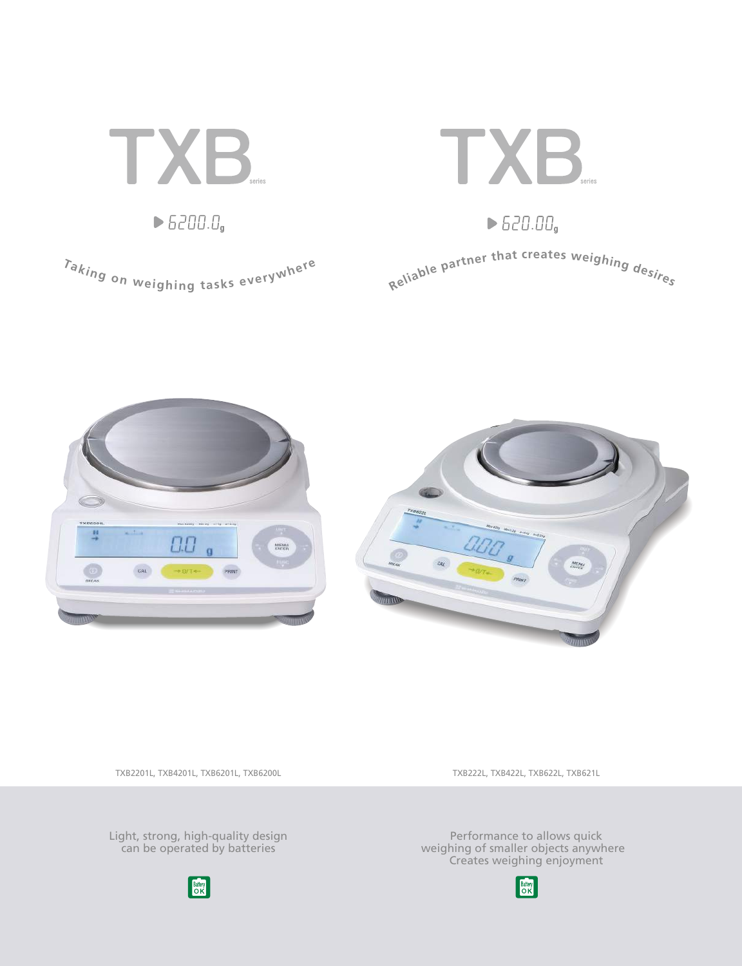





TXB2201L, TXB4201L, TXB6201L, TXB6200L

TXB222L, TXB422L, TXB622L, TXB621L

Light, strong, high-quality design can be operated by batteries



Performance to allows quick weighing of smaller objects anywhere Creates weighing enjoyment

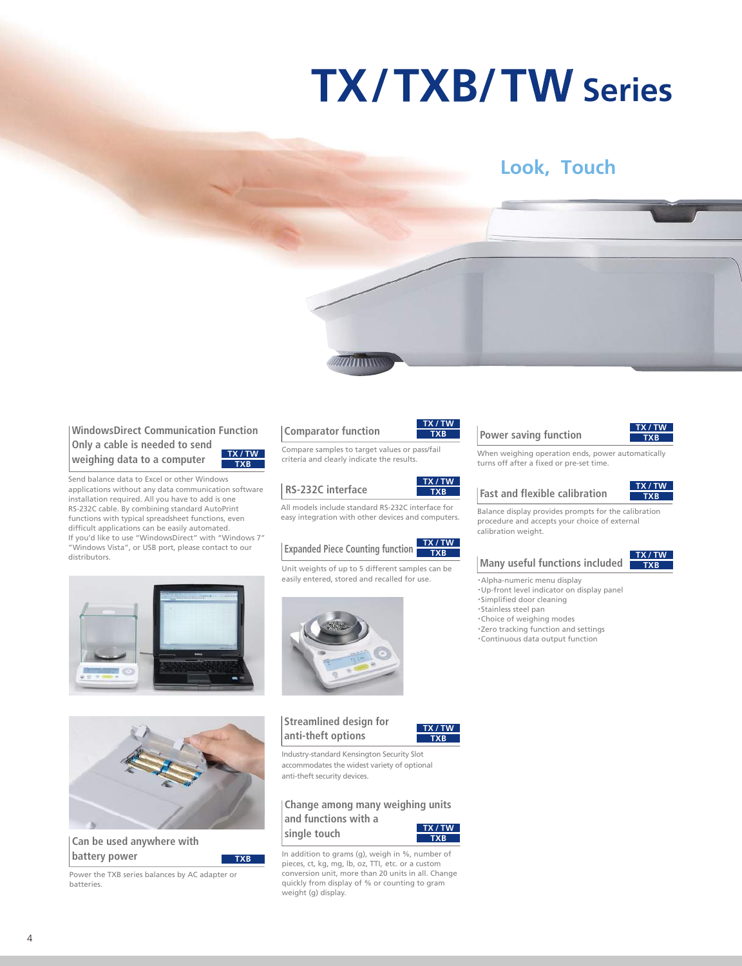# **TX/TXB/TW Series**

### **Look, Touch**

**WindowsDirect Communication Function Only a cable is needed to send weighing data to a computer TXB TX / TW**

Send balance data to Excel or other Windows applications without any data communication software installation required. All you have to add is one RS-232C cable. By combining standard AutoPrint functions with typical spreadsheet functions, even difficult applications can be easily automated. If you'd like to use "WindowsDirect" with "Windows 7" "Windows Vista", or USB port, please contact to our distributors.





minn

#### **RS-232C interface**

All models include standard RS-232C interface for easy integration with other devices and computers.

#### **Expanded Piece Counting function TXB TX / TW**

Unit weights of up to 5 different samples can be easily entered, stored and recalled for use.



**Streamlined design for anti-theft options**



**TXB TX / TW**

**TXB TX / TW**

Industry-standard Kensington Security Slot accommodates the widest variety of optional anti-theft security devices.

**Change among many weighing units and functions with a single touch TX / TW**



In addition to grams (g), weigh in %, number of pieces, ct, kg, mg, lb, oz, TTI, etc. or a custom conversion unit, more than 20 units in all. Change quickly from display of % or counting to gram weight (g) display.





When weighing operation ends, power automatically turns off after a fixed or pre-set time.

#### **Fast and flexible calibration**



**TXB TX / TW**

Balance display provides prompts for the calibration procedure and accepts your choice of external calibration weight.

#### **Many useful functions included**

・Alpha-numeric menu display ・Up-front level indicator on display panel ・Simplified door cleaning ・Stainless steel pan ・Choice of weighing modes ・Zero tracking function and settings ・Continuous data output function



**TXB**

**Can be used anywhere with battery power**

Power the TXB series balances by AC adapter or batteries.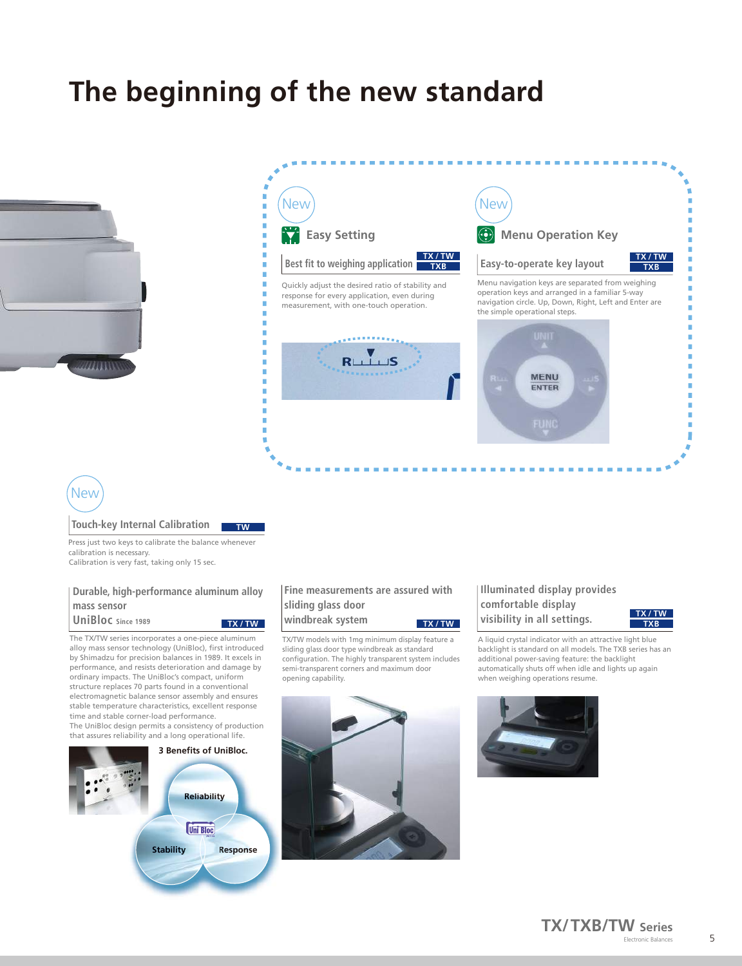## **The beginning of the new standard**





### **New**

#### **Touch-key Internal Calibration**

Press just two keys to calibrate the balance whenever calibration is necessary. Calibration is very fast, taking only 15 sec.

**TW**

#### **Durable, high-performance aluminum alloy mass sensor**

**UniBloc Since 1989** The TX/TW series incorporates a one-piece aluminum

alloy mass sensor technology (UniBloc), first introduced by Shimadzu for precision balances in 1989. It excels in performance, and resists deterioration and damage by ordinary impacts. The UniBloc's compact, uniform structure replaces 70 parts found in a conventional electromagnetic balance sensor assembly and ensures stable temperature characteristics, excellent response time and stable corner-load performance. The UniBloc design permits a consistency of production that assures reliability and a long operational life.



#### **Fine measurements are assured with sliding glass door windbreak system TX / TW TX / TW**

TX/TW models with 1mg minimum display feature a sliding glass door type windbreak as standard configuration. The highly transparent system includes semi-transparent corners and maximum door opening capability.



#### **Illuminated display provides comfortable display visibility in all settings.**



г

A liquid crystal indicator with an attractive light blue backlight is standard on all models. The TXB series has an additional power-saving feature: the backlight automatically shuts off when idle and lights up again when weighing operations resume.

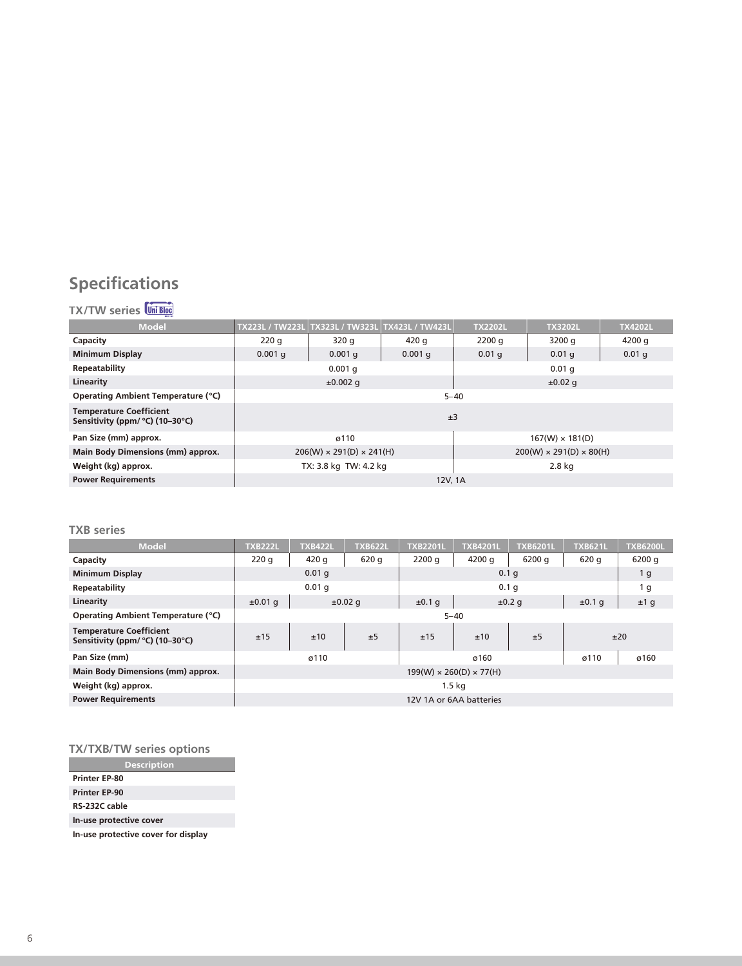### **Specifications**

### **TX/TW series**

| <b>Model</b>                                                      | TX223L / TW223L | TX323L / TW323L                      | <b>TX423L / TW423L</b> | <b>TX2202L</b>                      | <b>TX3202L</b> | <b>TX4202L</b>    |  |  |  |
|-------------------------------------------------------------------|-----------------|--------------------------------------|------------------------|-------------------------------------|----------------|-------------------|--|--|--|
| Capacity                                                          | 220q            | 320q                                 | 420q                   | 2200q                               | 3200q          | 4200 g            |  |  |  |
| <b>Minimum Display</b>                                            | $0.001$ q       | $0.001$ q                            | $0.001$ q              | 0.01 <sub>q</sub>                   | $0.01$ q       | 0.01 <sub>q</sub> |  |  |  |
| Repeatability                                                     |                 | $0.001$ q                            |                        | $0.01$ q                            |                |                   |  |  |  |
| Linearity                                                         |                 | $±0.002$ q                           |                        | $\pm 0.02$ q                        |                |                   |  |  |  |
| Operating Ambient Temperature (°C)                                | $5 - 40$        |                                      |                        |                                     |                |                   |  |  |  |
| <b>Temperature Coefficient</b><br>Sensitivity (ppm/ °C) (10-30°C) | ±3              |                                      |                        |                                     |                |                   |  |  |  |
| Pan Size (mm) approx.                                             |                 | ø110                                 |                        | $167(W) \times 181(D)$              |                |                   |  |  |  |
| Main Body Dimensions (mm) approx.                                 |                 | $206(W) \times 291(D) \times 241(H)$ |                        | $200(W) \times 291(D) \times 80(H)$ |                |                   |  |  |  |
| Weight (kg) approx.                                               |                 | TX: 3.8 kg TW: 4.2 kg                |                        | 2.8 kg                              |                |                   |  |  |  |
| <b>Power Requirements</b>                                         | 12V, 1A         |                                      |                        |                                     |                |                   |  |  |  |

#### **TXB series**

| <b>Model</b>                                                      | <b>TXB222L</b>                      | <b>TXB422L</b>    | <b>TXB622L</b> | <b>TXB2201L</b>  | <b>TXB4201L</b> | <b>TXB6201L</b> | <b>TXB621L</b> | <b>TXB6200L</b> |  |  |
|-------------------------------------------------------------------|-------------------------------------|-------------------|----------------|------------------|-----------------|-----------------|----------------|-----------------|--|--|
| Capacity                                                          | 220q                                | 420 g             | 620 g          | 2200q            | 4200 g          | 6200q           | 620 q          | 6200 g          |  |  |
| <b>Minimum Display</b>                                            |                                     | 0.01 <sub>q</sub> |                |                  | 1 <sub>g</sub>  |                 |                |                 |  |  |
| Repeatability                                                     | $0.01$ q                            |                   |                | 0.1 <sub>q</sub> |                 |                 |                | 1 <sub>g</sub>  |  |  |
| Linearity                                                         | $±0.01$ q                           | $\pm 0.02$ q      |                | ±0.1q            | ±0.2 q          |                 | ±0.1q          | ±1 g            |  |  |
| Operating Ambient Temperature (°C)                                | $5 - 40$                            |                   |                |                  |                 |                 |                |                 |  |  |
| <b>Temperature Coefficient</b><br>Sensitivity (ppm/ °C) (10-30°C) | ±15                                 | ±10               | ±5             | ±15              | ±10             | ±5              |                | ±20             |  |  |
| Pan Size (mm)                                                     | ø110                                |                   |                |                  | ø160            | ø110            | ø160           |                 |  |  |
| Main Body Dimensions (mm) approx.                                 | $199(W) \times 260(D) \times 77(H)$ |                   |                |                  |                 |                 |                |                 |  |  |
| Weight (kg) approx.                                               | 1.5 <sub>kq</sub>                   |                   |                |                  |                 |                 |                |                 |  |  |
| <b>Power Requirements</b>                                         | 12V 1A or 6AA batteries             |                   |                |                  |                 |                 |                |                 |  |  |

### **TX/TXB/TW series options**

**Description Printer EP-80 Printer EP-90 In-use protective cover RS-232C cable In-use protective cover for display**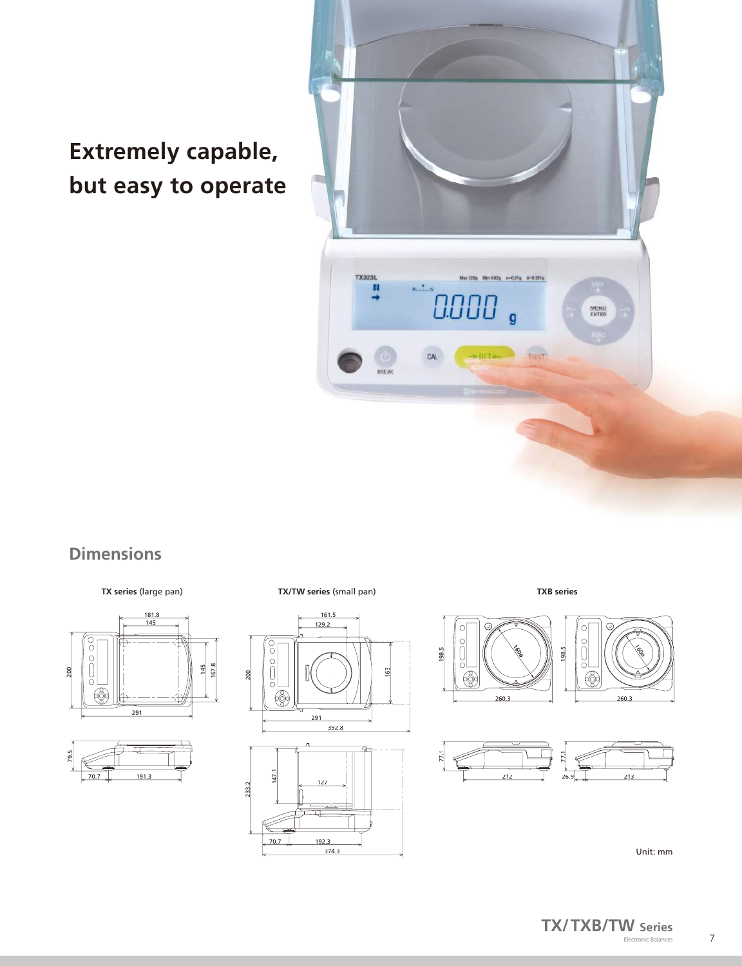## **Extremely capable, but easy to operate**



### **Dimensions**





**TX/TW series** (small pan) **TX series** (large pan) **TXB series**



374.3



198.5





Unit: mm